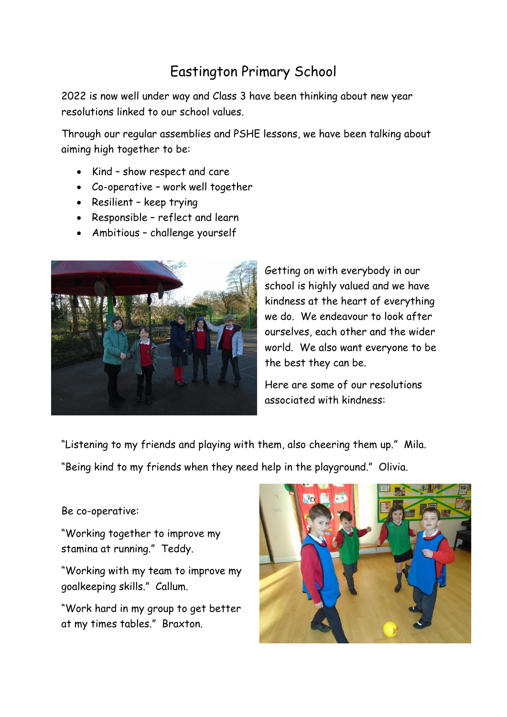## Eastington Primary School

2022 is now well under way and Class 3 have been thinking about new year resolutions linked to our school values.

Through our regular assemblies and PSHE lessons, we have been talking about aiming high together to be:

- Kind show respect and care
- Co-operative work well together
- Resilient keep trying
- Responsible reflect and learn
- Ambitious challenge yourself



Getting on with everybody in our school is highly valued and we have kindness at the heart of everything we do. We endeavour to look after ourselves, each other and the wider world. We also want everyone to be the best they can be.

Here are some of our resolutions associated with kindness:

"Listening to my friends and playing with them, also cheering them up." Mila.

"Being kind to my friends when they need help in the playground." Olivia.

## Be co-operative:

"Working together to improve my stamina at running." Teddy.

"Working with my team to improve my goalkeeping skills." Callum.

"Work hard in my group to get better at my times tables." Braxton.